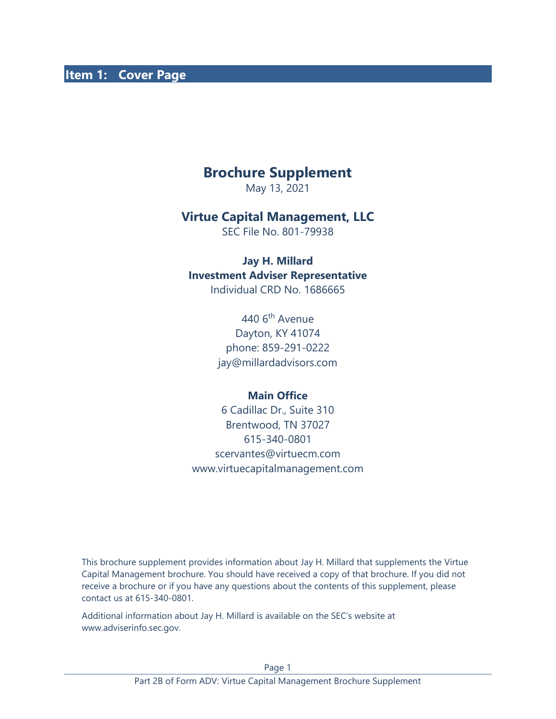#### **Item 1: Cover Page**

# **Brochure Supplement**

May 13, 2021

#### **Virtue Capital Management, LLC**

SEC File No. 801-79938

#### **Jay H. Millard Investment Adviser Representative** Individual CRD No. 1686665

440 6th Avenue Dayton, KY 41074 phone: 859-291-0222 jay@millardadvisors.com

#### **Main Office**

6 Cadillac Dr., Suite 310 Brentwood, TN 37027 615-340-0801 scervantes@virtuecm.com www.virtuecapitalmanagement.com

This brochure supplement provides information about Jay H. Millard that supplements the Virtue Capital Management brochure. You should have received a copy of that brochure. If you did not receive a brochure or if you have any questions about the contents of this supplement, please contact us at 615-340-0801.

Additional information about Jay H. Millard is available on the SEC's website at www.adviserinfo.sec.gov.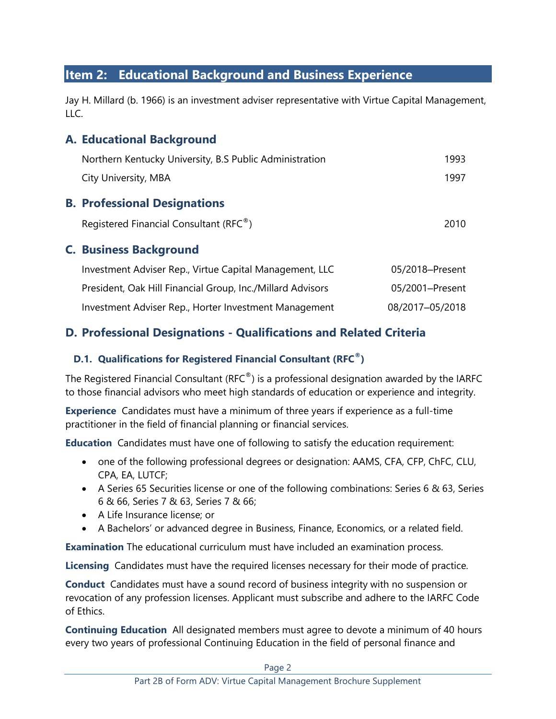# **Item 2: Educational Background and Business Experience**

Jay H. Millard (b. 1966) is an investment adviser representative with Virtue Capital Management,  $LLC$ .

### **A. Educational Background**

| Northern Kentucky University, B.S Public Administration    | 1993            |
|------------------------------------------------------------|-----------------|
| City University, MBA                                       | 1997            |
| <b>B. Professional Designations</b>                        |                 |
| Registered Financial Consultant (RFC <sup>®</sup> )        | 2010            |
| <b>C. Business Background</b>                              |                 |
| Investment Adviser Rep., Virtue Capital Management, LLC    | 05/2018-Present |
| President, Oak Hill Financial Group, Inc./Millard Advisors | 05/2001-Present |
| Investment Adviser Rep., Horter Investment Management      | 08/2017-05/2018 |

# **D. Professional Designations - Qualifications and Related Criteria**

#### **D.1. Qualifications for Registered Financial Consultant (RFC®)**

The Registered Financial Consultant (RFC $^{\circ}$ ) is a professional designation awarded by the IARFC to those financial advisors who meet high standards of education or experience and integrity.

**Experience** Candidates must have a minimum of three years if experience as a full-time practitioner in the field of financial planning or financial services.

**Education** Candidates must have one of following to satisfy the education requirement:

- one of the following professional degrees or designation: AAMS, CFA, CFP, ChFC, CLU, CPA, EA, LUTCF;
- A Series 65 Securities license or one of the following combinations: Series 6 & 63, Series 6 & 66, Series 7 & 63, Series 7 & 66;
- A Life Insurance license; or
- A Bachelors' or advanced degree in Business, Finance, Economics, or a related field.

**Examination** The educational curriculum must have included an examination process.

**Licensing** Candidates must have the required licenses necessary for their mode of practice.

**Conduct** Candidates must have a sound record of business integrity with no suspension or revocation of any profession licenses. Applicant must subscribe and adhere to the IARFC Code of Ethics.

**Continuing Education** All designated members must agree to devote a minimum of 40 hours every two years of professional Continuing Education in the field of personal finance and